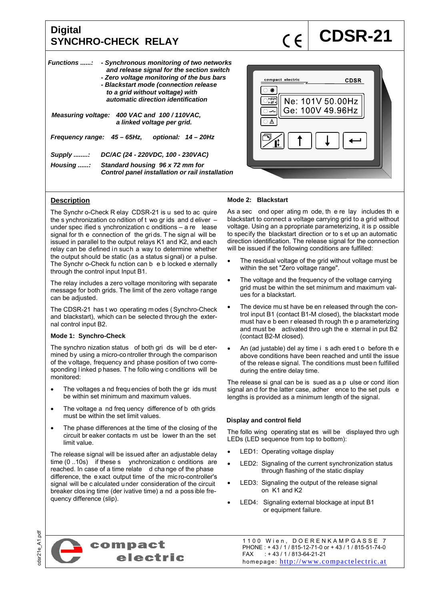# **Digital**  Digital<br>SYNCHRO-CHECK RELAY **COSR-21**

| <b>Functions</b> :<br>- Synchronous monitoring of two networks<br>and release signal for the section switch<br>- Zero voltage monitoring of the bus bars<br>- Blackstart mode (connection release<br>to a grid without voltage) with<br>automatic direction identification |                                                                                    |  |  |  |  |
|----------------------------------------------------------------------------------------------------------------------------------------------------------------------------------------------------------------------------------------------------------------------------|------------------------------------------------------------------------------------|--|--|--|--|
| Measuring voltage: 400 VAC and 100/110VAC.<br>a linked voltage per grid.                                                                                                                                                                                                   |                                                                                    |  |  |  |  |
| Frequency range: 45 – 65Hz,                                                                                                                                                                                                                                                | optional: 14 - 20Hz                                                                |  |  |  |  |
| Supply :                                                                                                                                                                                                                                                                   | DC/AC (24 - 220VDC, 100 - 230VAC)                                                  |  |  |  |  |
| Housing :                                                                                                                                                                                                                                                                  | Standard housing 96 x 72 mm for<br>Control panel installation or rail installation |  |  |  |  |



# **Description**

The Synchr o-Check R elay CDSR-21 is u sed to ac quire the s ynchronization co ndition of  $t$  wo gr ids and d eliver  $$ under spec ified s ynchronization c onditions – a re lease signal for th e connection of the gri ds. T he sign al will be issued in parallel to the output relays K1 and K2, and each relay can be defined in such a way to determine whether the output should be static (as a status signal) or a pulse. The Synchr o-Check fu nction can b e b locked e xternally through the control input Input B1.

The relay includes a zero voltage monitoring with separate message for both grids. The limit of the zero voltage range can be adjusted.

The CDSR-21 has t wo operating m odes ( Synchro-Check and blackstart), which can be selected through the external control input B2.

## **Mode 1: Synchro-Check**

The synchro nization status of both gri ds will be d etermined by using a micro-co ntroller through the comparison of the voltage, frequency and phase position of two corresponding l inked p hases. T he follo wing c onditions will be monitored:

- The voltages a nd frequencies of both the gr ids must be within set minimum and maximum values.
- The voltage a nd freq uency difference of b oth grids must be within the set limit values.
- The phase differences at the time of the closing of the circuit br eaker contacts m ust be lower th an the set limit value.

The release signal will be issued after an adjustable delay time (0 ..10s) if these s ynchronization c onditions are reached. In case of a time relate d cha nge of the phase difference, the e xact output time of the mic ro-controller's signal will be c alculated under consideration of the circuit breaker clos ing time (der ivative time) a nd a poss ible frequency difference (slip).

## **Mode 2: Blackstart**

As a sec ond oper ating m ode, th e re lay includes th e blackstart to connect a voltage carrying grid to a grid without voltage. Using an a ppropriate parameterizing, it is p ossible to specify the blackstart direction or to s et up an automatic direction identification. The release signal for the connection will be issued if the following conditions are fulfilled:

- The residual voltage of the grid without voltage must be within the set "Zero voltage range".
- The voltage and the frequency of the voltage carrying grid must be within the set minimum and maximum values for a blackstart.
- The device mu st have be en released through the control input B1 (contact B1-M closed), the blackstart mode must hav e b een r eleased th rough th e p arameterizing and must be activated thro ugh the e xternal in put B2 (contact B2-M closed).
- An (ad justable) del ay time i s adh ered t o before th e above conditions have been reached and until the issue of the release signal. The conditions must been fulfilled during the entire delay time.

The release si gnal can be is sued as a p ulse or cond ition signal and for the latter case, adher ence to the set puls e lengths is provided as a minimum length of the signal.

## **Display and control field**

The follo wing operating stat es will be displayed thro ugh LEDs (LED sequence from top to bottom):

- LED1: Operating voltage display
- LED2: Signaling of the current synchronization status through flashing of the static display
- LED3: Signaling the output of the release signal on K1 and K2
- LED4: Signaling external blockage at input B1 or equipment failure.

dsr21e A1.pdf cdsr21e\_A1.pdf



1100 Wien, DOERENKAMPGASSE 7 PHONE : + 43 / 1 / 815-12-71-0 or + 43 / 1 / 815-51-74-0<br>FAX : + 43 / 1 / 813-64-21-21  $: + 43 / 1 / 813 - 64 - 21 - 21$ homepage: http://www.compactelectric.at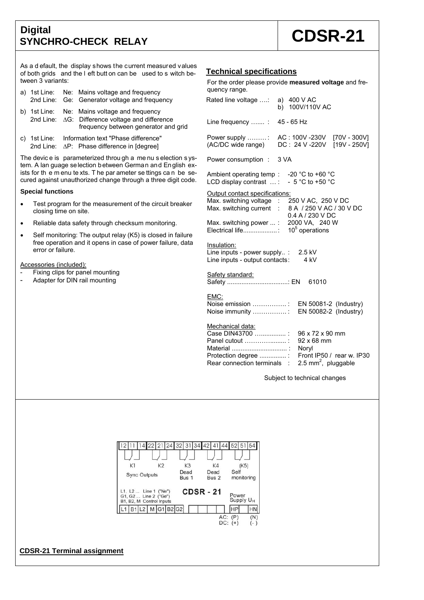# **Digital**  Digital Digital **CDSR-21**

As a d efault, the display shows the current measured values of both grids and the l eft butt on can be used to s witch between 3 variants:

|  | a) 1st Line: Ne: Mains voltage and frequency<br>2nd Line: Ge: Generator voltage and frequency                                           |
|--|-----------------------------------------------------------------------------------------------------------------------------------------|
|  | b) 1st Line: Ne: Mains voltage and frequency<br>2nd Line: △G: Difference voltage and difference<br>frequency between generator and grid |
|  | a) 1et line: Information tout "Dhoop difference"                                                                                        |

c) 1st Line: Information text "Phase difference" 2nd Line:  $\Delta P$ : Phase difference in [degree]

The devic e is parameterized throu gh a me nu s election s ystem. A lan guage selection between German and English exists for the menu te xts. The par ameter se ttings can be secured against unauthorized change through a three digit code.

### **Special functions**

- Test program for the measurement of the circuit breaker closing time on site.
- Reliable data safety through checksum monitoring.
- Self monitoring: The output relay (K5) is closed in failure free operation and it opens in case of power failure, data error or failure.

Accessories (included):

- Fixing clips for panel mounting
- Adapter for DIN rail mounting

# **Technical specifications**

For the order please provide **measured voltage** and frequency range.

| Rated line voltage :                                                                                                               | a) 400 V AC<br>b) 100V/110V AC                          |  |
|------------------------------------------------------------------------------------------------------------------------------------|---------------------------------------------------------|--|
| Line frequency  :                                                                                                                  | 45 - 65 Hz                                              |  |
| Power supply $\dots\dots\dots$<br>(AC/DC wide range)                                                                               | AC: 100V-230V [70V-300V]<br>DC: 24 V -220V [19V - 250V] |  |
| Power consumption : 3 VA                                                                                                           |                                                         |  |
| Ambient operating temp : $-20$ °C to +60 °C<br>LCD display contrast  :                                                             | $-5$ °C to +50 °C                                       |  |
| Output contact specifications:<br>Max. switching voltage : 250 V AC, 250 V DC<br>Max. switching current : 8 A / 250 V AC / 30 V DC | 0.4 A / 230 V DC                                        |  |
| Max. switching power : 2000 VA, 240 W                                                                                              |                                                         |  |
| Insulation:<br>Line inputs - power supply :<br>Line inputs - output contacts:                                                      | 2.5 kV<br>4 kV                                          |  |
| <u>Safety standard:</u><br>Safety : EN                                                                                             | 61010                                                   |  |
| EMC:<br>Noise emission :<br>Noise immunity :                                                                                       | EN 50081-2 (Industry)<br>EN 50082-2 (Industry)          |  |
| Mechanical data:<br>$C_{200}$ DINI42700                                                                                            | $0.02 \times 72 \times 00 \text{ mm}$                   |  |

| Case DIN43700 : 96 x 72 x 90 mm                            |  |
|------------------------------------------------------------|--|
| Panel cutout : 92 x 68 mm                                  |  |
|                                                            |  |
| Protection degree : Front IP50 / rear w. IP30              |  |
| Rear connection terminals : $2.5 \text{ mm}^2$ , pluggable |  |
|                                                            |  |

Subject to technical changes



## **CDSR-21 Terminal assignment**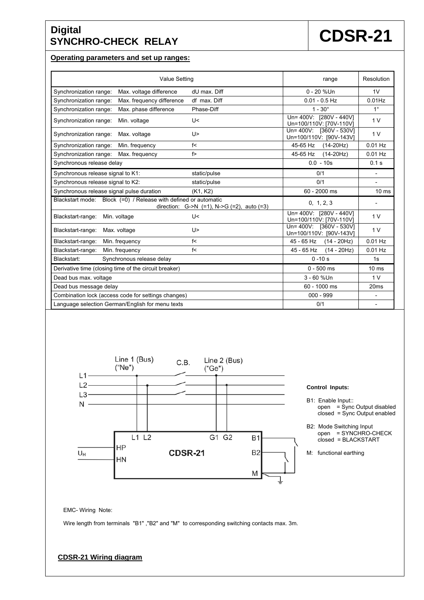# **Digital**  Digital **CDSR-21**

## **Operating parameters and set up ranges:**

| <b>Value Setting</b>                                                                                               | range                                              | Resolution               |
|--------------------------------------------------------------------------------------------------------------------|----------------------------------------------------|--------------------------|
| Synchronization range:<br>Max. voltage difference<br>dU max. Diff                                                  | $0 - 20$ %Un                                       | 1V                       |
| Max. frequency difference<br>df max. Diff<br>Synchronization range:                                                | $0.01 - 0.5$ Hz                                    | $0.01$ Hz                |
| Max. phase difference<br>Phase-Diff<br>Synchronization range:                                                      | $1 - 30^{\circ}$                                   | $1^{\circ}$              |
| Synchronization range:<br>Min. voltage<br>U<                                                                       | Un= 400V: [280V - 440V]<br>Un=100/110V: [70V-110V] | 1 <sub>V</sub>           |
| Synchronization range:<br>Max. voltage<br>U>                                                                       | Un= 400V: [360V - 530V]<br>Un=100/110V: [90V-143V] | 1 <sub>V</sub>           |
| Synchronization range:<br>Min. frequency<br>f<                                                                     | 45-65 Hz<br>$(14-20Hz)$                            | $0.01$ Hz                |
| f<br>Synchronization range:<br>Max. frequency                                                                      | 45-65 Hz<br>$(14-20Hz)$                            | $0.01$ Hz                |
| Synchronous release delay                                                                                          | $0.0 - 10s$                                        | 0.1 s                    |
| Synchronous release signal to K1:<br>static/pulse                                                                  | 0/1                                                | $\overline{\phantom{a}}$ |
| Synchronous release signal to K2:<br>static/pulse                                                                  | 0/1                                                | $\overline{\phantom{a}}$ |
| Synchronous release signal pulse duration<br>(K1, K2)                                                              | 60 - 2000 ms                                       | 10 <sub>ms</sub>         |
| Blackstart mode: Block (=0) / Release with defined or automatic<br>direction: $G->N$ (=1), N- $>G$ (=2), auto (=3) | 0, 1, 2, 3                                         |                          |
| Blackstart-range:<br>U<<br>Min. voltage                                                                            | Un= 400V: [280V - 440V]<br>Un=100/110V: [70V-110V] | 1 <sub>V</sub>           |
| Blackstart-range:<br>Max. voltage<br>U>                                                                            | Un= 400V: [360V - 530V]<br>Un=100/110V: [90V-143V] | 1 <sub>V</sub>           |
| Blackstart-range:<br>f<<br>Min. frequency                                                                          | 45 - 65 Hz<br>$(14 - 20Hz)$                        | $0.01$ Hz                |
| Blackstart-range:<br>Min. frequency<br>f<                                                                          | 45 - 65 Hz<br>$(14 - 20Hz)$                        | $0.01$ Hz                |
| Blackstart:<br>Synchronous release delay                                                                           | $0 - 10s$                                          | 1s                       |
| Derivative time (closing time of the circuit breaker)                                                              | $0 - 500$ ms                                       | 10 <sub>ms</sub>         |
| Dead bus max. voltage                                                                                              | 3 - 60 %Un                                         | 1 <sub>V</sub>           |
| Dead bus message delay                                                                                             | 60 - 1000 ms                                       | 20 <sub>ms</sub>         |
| Combination lock (access code for settings changes)                                                                | $000 - 999$                                        | $\overline{\phantom{a}}$ |
| Language selection German/English for menu texts                                                                   | 0/1                                                | $\overline{\phantom{a}}$ |



### **Control Inputs:**

- B1: Enable Input:: open = Sync Output disabled closed = Sync Output enabled
- B2: Mode Switching Input open = SYNCHRO-CHECK closed = BLACKSTART
- M: functional earthing

EMC- Wiring Note:

Wire length from terminals "B1" ,"B2" and "M" to corresponding switching contacts max. 3m.

# **CDSR-21 Wiring diagram**